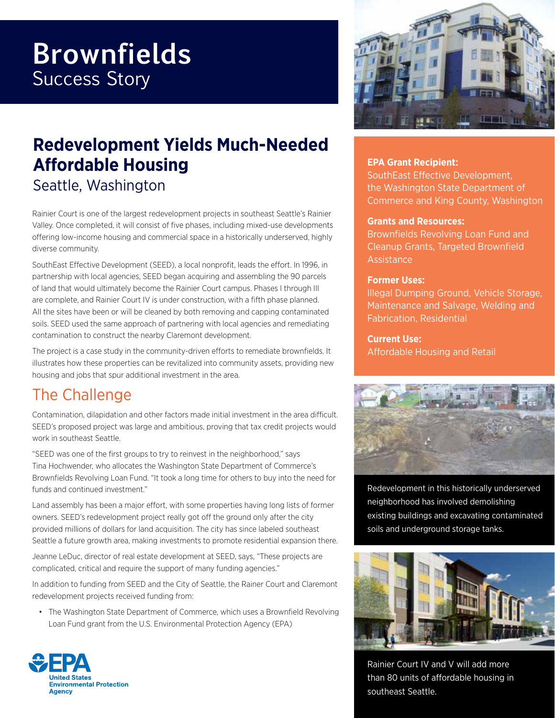# **Brownfields** Success Story

# **Redevelopment Yields Much-Needed Affordable Housing** Seattle, Washington

Rainier Court is one of the largest redevelopment projects in southeast Seattle's Rainier Valley. Once completed, it will consist of five phases, including mixed-use developments offering low-income housing and commercial space in a historically underserved, highly diverse community.

SouthEast Effective Development (SEED), a local nonprofit, leads the effort. In 1996, in partnership with local agencies, SEED began acquiring and assembling the 90 parcels of land that would ultimately become the Rainier Court campus. Phases I through III are complete, and Rainier Court IV is under construction, with a fifth phase planned. All the sites have been or will be cleaned by both removing and capping contaminated soils. SEED used the same approach of partnering with local agencies and remediating contamination to construct the nearby Claremont development.

The project is a case study in the community-driven efforts to remediate brownfields. It illustrates how these properties can be revitalized into community assets, providing new housing and jobs that spur additional investment in the area.

## The Challenge

Contamination, dilapidation and other factors made initial investment in the area difficult. SEED's proposed project was large and ambitious, proving that tax credit projects would work in southeast Seattle.

"SEED was one of the first groups to try to reinvest in the neighborhood," says Tina Hochwender, who allocates the Washington State Department of Commerce's Brownfields Revolving Loan Fund. "It took a long time for others to buy into the need for funds and continued investment."

Land assembly has been a major effort, with some properties having long lists of former owners. SEED's redevelopment project really got off the ground only after the city provided millions of dollars for land acquisition. The city has since labeled southeast Seattle a future growth area, making investments to promote residential expansion there.

Jeanne LeDuc, director of real estate development at SEED, says, "These projects are complicated, critical and require the support of many funding agencies."

In addition to funding from SEED and the City of Seattle, the Rainer Court and Claremont redevelopment projects received funding from:

• The Washington State Department of Commerce, which uses a Brownfield Revolving Loan Fund grant from the U.S. Environmental Protection Agency (EPA)



#### **EPA Grant Recipient:**

SouthEast Effective Development, the Washington State Department of Commerce and King County, Washington

#### **Grants and Resources:**

Brownfields Revolving Loan Fund and Cleanup Grants, Targeted Brownfield **Assistance** 

#### **Former Uses:**

Illegal Dumping Ground, Vehicle Storage, Maintenance and Salvage, Welding and Fabrication, Residential

#### **Current Use:**

Affordable Housing and Retail



Redevelopment in this historically underserved neighborhood has involved demolishing existing buildings and excavating contaminated soils and underground storage tanks.



Rainier Court IV and V will add more than 80 units of affordable housing in southeast Seattle.